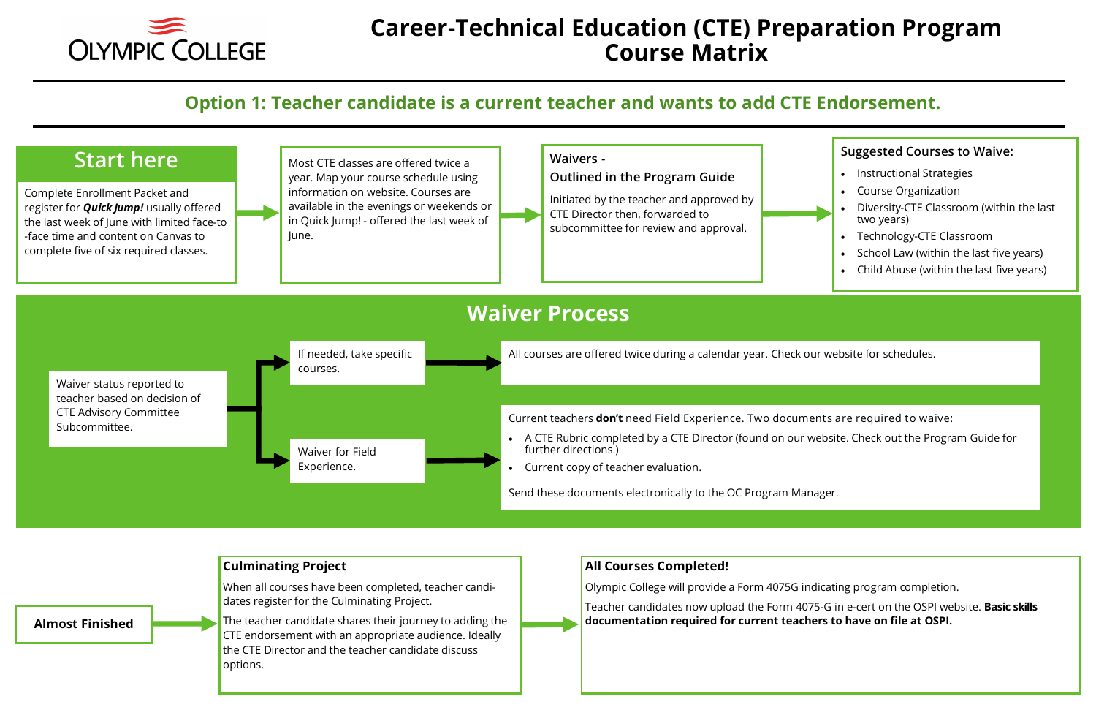

## **Career-Technical Education (CTE) Preparation Program Course Matrix**

## **Option 1: Teacher candidate is a current teacher and wants to add CTE Endorsement.**

- Instructional Strategies
- Course Organization
- Diversity-CTE Classroom (within the last two years)
- Technology-CTE Classroom
- School Law (within the last five years)
- Child Abuse (within the last five years)





Teacher candidates now upload the Form 4075-G in e-cert on the OSPI website. **Basic skills** 

### **Suggested Courses to Waive:**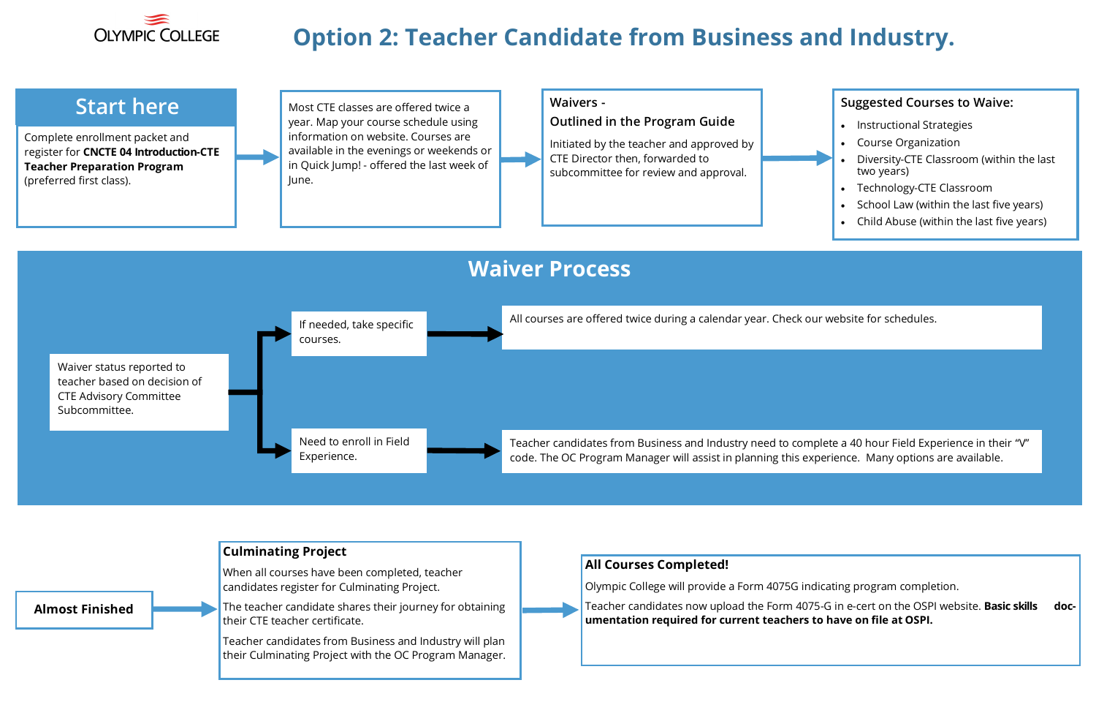

# **Option 2: Teacher Candidate from Business and Industry.**

#### **Waivers -**

#### **Outlined in the Program Guide**

Initiated by the teacher and approved by CTE Director then, forwarded to subcommittee for review and approval.

- Instructional Strategies
- Course Organization
- Diversity-CTE Classroom (within the last two years)
- Technology-CTE Classroom
- School Law (within the last five years)
- Child Abuse (within the last five years)

orm 4075G indicating program completion. the Form 4075-G in e-cert on the OSPI website. **Basic skills docnt teachers to have on file at OSPI.** 

#### **Suggested Courses to Waive:**

Complete enrollment packet and register for **CNCTE 04 Introduction-CTE Teacher Preparation Program**  (preferred first class).

## **Start here**



their Culminating Project with the OC Program Manager.

|                        |  | <b>Culminating Project</b>                                                                 |                                                                   |
|------------------------|--|--------------------------------------------------------------------------------------------|-------------------------------------------------------------------|
|                        |  | When all courses have been completed, teacher                                              | <b>All Courses Completed!</b>                                     |
|                        |  | candidates register for Culminating Project.                                               | Olympic College will provide a Fo                                 |
| <b>Almost Finished</b> |  | The teacher candidate shares their journey for obtaining<br>their CTE teacher certificate. | Teacher candidates now upload t<br>umentation required for currer |
|                        |  | Teacher candidates from Business and Industry will plan                                    |                                                                   |

Most CTE classes are offered twice a year. Map your course schedule using information on website. Courses are available in the evenings or weekends or in Quick Jump! - offered the last week of June.